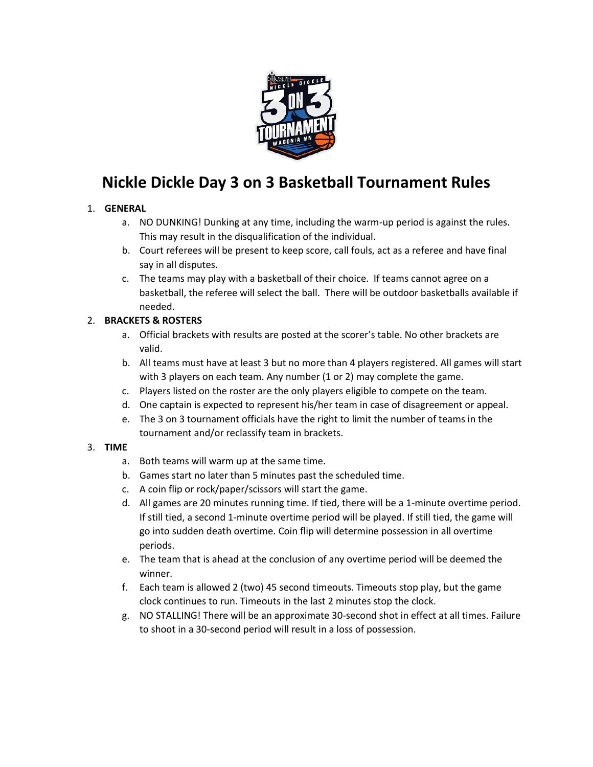

# **Nickle Dickle Day 3 on 3 Basketball Tournament Rules**

#### 1. **GENERAL**

- a. NO DUNKING! Dunking at any time, including the warm-up period is against the rules. This may result in the disqualification of the individual.
- b. Court referees will be present to keep score, call fouls, act as a referee and have final say in all disputes.
- c. The teams may play with a basketball of their choice. If teams cannot agree on a basketball, the referee will select the ball. There will be outdoor basketballs available if needed.

## 2. **BRACKETS & ROSTERS**

- a. Official brackets with results are posted at the scorer's table. No other brackets are valid.
- b. All teams must have at least 3 but no more than 4 players registered. All games will start with 3 players on each team. Any number (1 or 2) may complete the game.
- c. Players listed on the roster are the only players eligible to compete on the team.
- d. One captain is expected to represent his/her team in case of disagreement or appeal.
- e. The 3 on 3 tournament officials have the right to limit the number of teams in the tournament and/or reclassify team in brackets.

#### 3. **TIME**

- a. Both teams will warm up at the same time.
- b. Games start no later than 5 minutes past the scheduled time.
- c. A coin flip or rock/paper/scissors will start the game.
- d. All games are 20 minutes running time. If tied, there will be a 1-minute overtime period. If still tied, a second 1-minute overtime period will be played. If still tied, the game will go into sudden death overtime. Coin flip will determine possession in all overtime periods.
- e. The team that is ahead at the conclusion of any overtime period will be deemed the winner.
- f. Each team is allowed 2 (two) 45 second timeouts. Timeouts stop play, but the game clock continues to run. Timeouts in the last 2 minutes stop the clock.
- g. NO STALLING! There will be an approximate 30-second shot in effect at all times. Failure to shoot in a 30-second period will result in a loss of possession.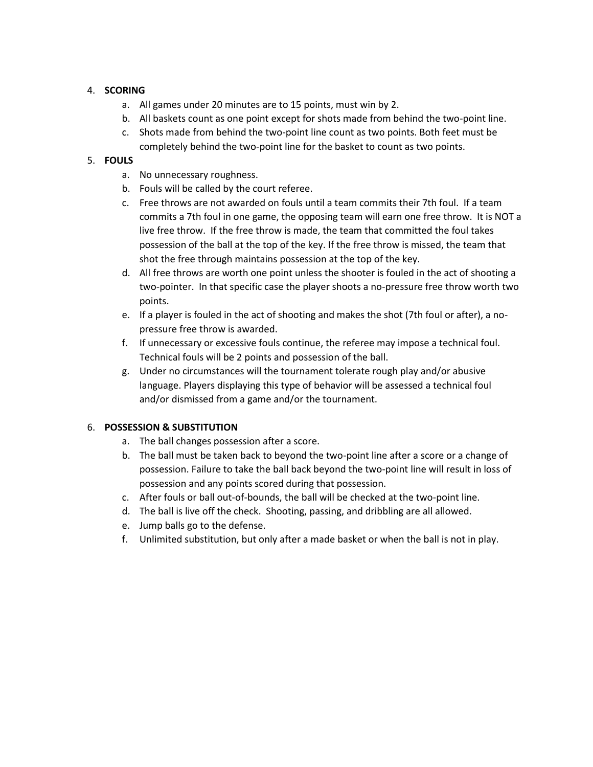#### 4. **SCORING**

- a. All games under 20 minutes are to 15 points, must win by 2.
- b. All baskets count as one point except for shots made from behind the two-point line.
- c. Shots made from behind the two-point line count as two points. Both feet must be completely behind the two-point line for the basket to count as two points.

## 5. **FOULS**

- a. No unnecessary roughness.
- b. Fouls will be called by the court referee.
- c. Free throws are not awarded on fouls until a team commits their 7th foul. If a team commits a 7th foul in one game, the opposing team will earn one free throw. It is NOT a live free throw. If the free throw is made, the team that committed the foul takes possession of the ball at the top of the key. If the free throw is missed, the team that shot the free through maintains possession at the top of the key.
- d. All free throws are worth one point unless the shooter is fouled in the act of shooting a two-pointer. In that specific case the player shoots a no-pressure free throw worth two points.
- e. If a player is fouled in the act of shooting and makes the shot (7th foul or after), a nopressure free throw is awarded.
- f. If unnecessary or excessive fouls continue, the referee may impose a technical foul. Technical fouls will be 2 points and possession of the ball.
- g. Under no circumstances will the tournament tolerate rough play and/or abusive language. Players displaying this type of behavior will be assessed a technical foul and/or dismissed from a game and/or the tournament.

#### 6. **POSSESSION & SUBSTITUTION**

- a. The ball changes possession after a score.
- b. The ball must be taken back to beyond the two-point line after a score or a change of possession. Failure to take the ball back beyond the two-point line will result in loss of possession and any points scored during that possession.
- c. After fouls or ball out-of-bounds, the ball will be checked at the two-point line.
- d. The ball is live off the check. Shooting, passing, and dribbling are all allowed.
- e. Jump balls go to the defense.
- f. Unlimited substitution, but only after a made basket or when the ball is not in play.